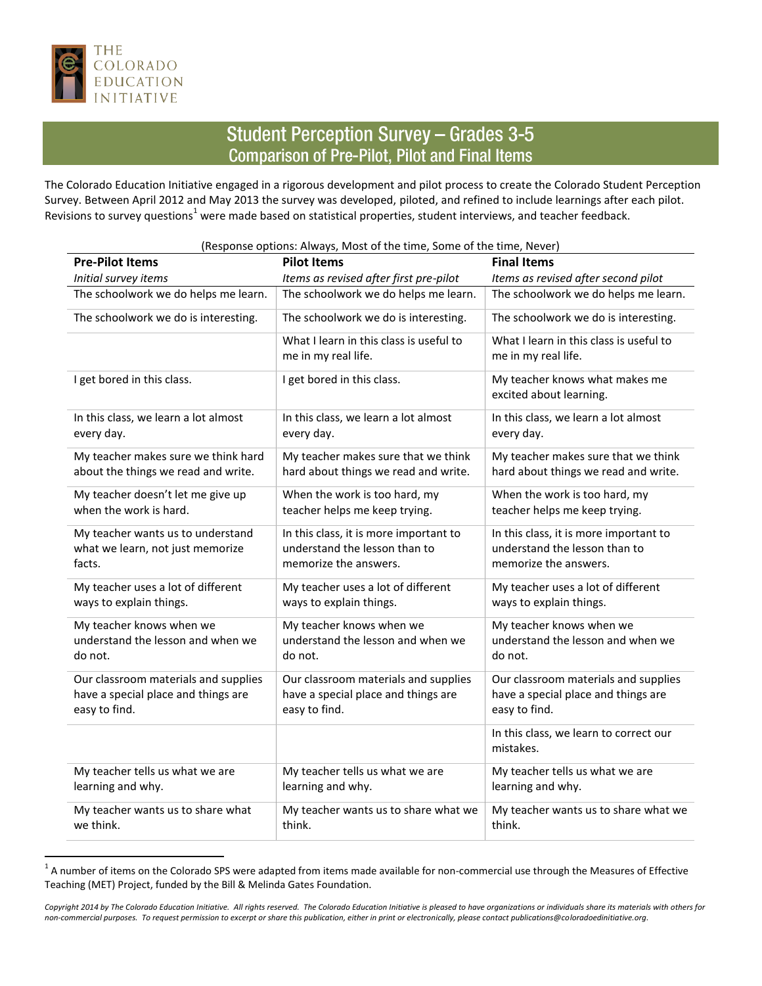

## **Student Perception Survey - Grades 3-5 Comparison of Pre-Pilot, Pilot and Final Items**

The Colorado Education Initiative engaged in a rigorous development and pilot process to create the Colorado Student Perception Survey. Between April 2012 and May 2013 the survey was developed, piloted, and refined to include learnings after each pilot. Revisions to survey questions<sup>1</sup> were made based on statistical properties, student interviews, and teacher feedback.

| <b>Pre-Pilot Items</b>               | (Response options: Always, Most of the time, Some of the time, Never)<br><b>Pilot Items</b> | <b>Final Items</b>                                             |
|--------------------------------------|---------------------------------------------------------------------------------------------|----------------------------------------------------------------|
| Initial survey items                 | Items as revised after first pre-pilot                                                      | Items as revised after second pilot                            |
| The schoolwork we do helps me learn. | The schoolwork we do helps me learn.                                                        | The schoolwork we do helps me learn.                           |
| The schoolwork we do is interesting. | The schoolwork we do is interesting.                                                        | The schoolwork we do is interesting.                           |
|                                      | What I learn in this class is useful to<br>me in my real life.                              | What I learn in this class is useful to<br>me in my real life. |
| I get bored in this class.           | I get bored in this class.                                                                  | My teacher knows what makes me<br>excited about learning.      |
| In this class, we learn a lot almost | In this class, we learn a lot almost                                                        | In this class, we learn a lot almost                           |
| every day.                           | every day.                                                                                  | every day.                                                     |
| My teacher makes sure we think hard  | My teacher makes sure that we think                                                         | My teacher makes sure that we think                            |
| about the things we read and write.  | hard about things we read and write.                                                        | hard about things we read and write.                           |
| My teacher doesn't let me give up    | When the work is too hard, my                                                               | When the work is too hard, my                                  |
| when the work is hard.               | teacher helps me keep trying.                                                               | teacher helps me keep trying.                                  |
| My teacher wants us to understand    | In this class, it is more important to                                                      | In this class, it is more important to                         |
| what we learn, not just memorize     | understand the lesson than to                                                               | understand the lesson than to                                  |
| facts.                               | memorize the answers.                                                                       | memorize the answers.                                          |
| My teacher uses a lot of different   | My teacher uses a lot of different                                                          | My teacher uses a lot of different                             |
| ways to explain things.              | ways to explain things.                                                                     | ways to explain things.                                        |
| My teacher knows when we             | My teacher knows when we                                                                    | My teacher knows when we                                       |
| understand the lesson and when we    | understand the lesson and when we                                                           | understand the lesson and when we                              |
| do not.                              | do not.                                                                                     | do not.                                                        |
| Our classroom materials and supplies | Our classroom materials and supplies                                                        | Our classroom materials and supplies                           |
| have a special place and things are  | have a special place and things are                                                         | have a special place and things are                            |
| easy to find.                        | easy to find.                                                                               | easy to find.                                                  |
|                                      |                                                                                             | In this class, we learn to correct our<br>mistakes.            |
| My teacher tells us what we are      | My teacher tells us what we are                                                             | My teacher tells us what we are                                |
| learning and why.                    | learning and why.                                                                           | learning and why.                                              |
| My teacher wants us to share what    | My teacher wants us to share what we                                                        | My teacher wants us to share what we                           |
| we think.                            | think.                                                                                      | think.                                                         |

## A number of items on the Colorado SPS were adapted from items made available for non-commercial use through the Measures of Effective<br>A number of items on the Colorado SPS were adapted from items made available for non-com Teaching (MET) Project, funded by the Bill & Melinda Gates Foundation.

*Copyright 2014 by The Colorado Education Initiative. All rights reserved. The Colorado Education Initiative is pleased to have organizations or individuals share its materials with others for non-commercial purposes. To request permission to excerpt or share this publication, either in print or electronically, please contact publications@coloradoedinitiative.org.*